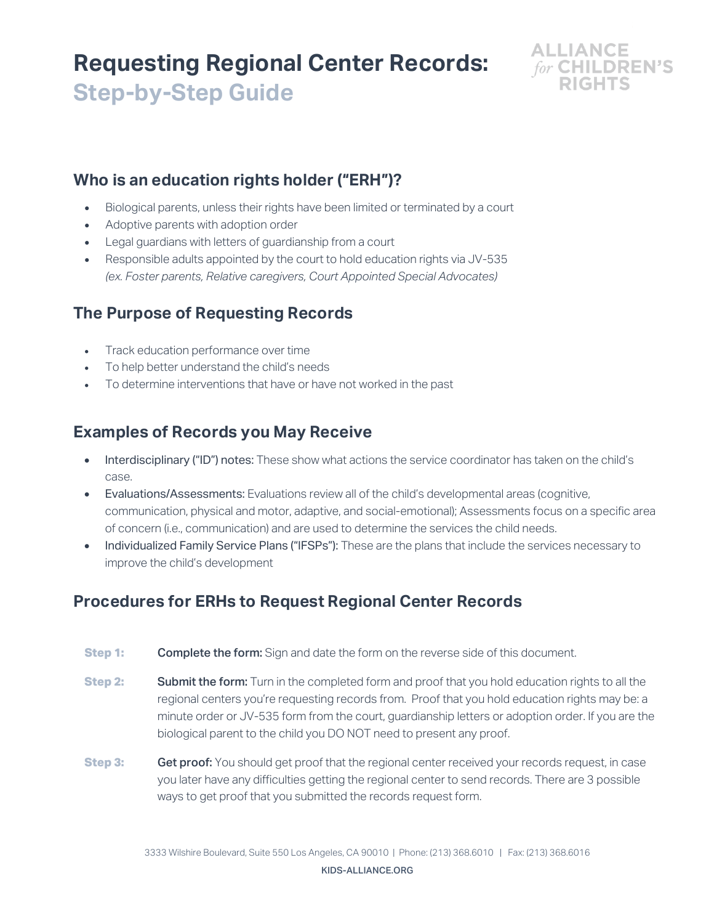# **Requesting Regional Center Records: Step-by-Step Guide**



#### **Who is an education rights holder ("ERH")?**

- Biological parents, unless their rights have been limited or terminated by a court
- Adoptive parents with adoption order
- Legal guardians with letters of guardianship from a court
- Responsible adults appointed by the court to hold education rights via JV-535 *(ex. Foster parents, Relative caregivers, Court Appointed Special Advocates)*

## **The Purpose of Requesting Records**

- Track education performance over time
- To help better understand the child's needs
- To determine interventions that have or have not worked in the past

#### **Examples of Records you May Receive**

- Interdisciplinary ("ID") notes: These show what actions the service coordinator has taken on the child's case.
- Evaluations/Assessments: Evaluations review all of the child's developmental areas (cognitive, communication, physical and motor, adaptive, and social-emotional); Assessments focus on a specific area of concern (i.e., communication) and are used to determine the services the child needs.
- Individualized Family Service Plans ("IFSPs"): These are the plans that include the services necessary to improve the child's development

## **Procedures for ERHs to Request Regional Center Records**

- **Step 1: Complete the form:** Sign and date the form on the reverse side of this document.
- **Step 2:** Submit the form: Turn in the completed form and proof that you hold education rights to all the regional centers you're requesting records from. Proof that you hold education rights may be: a minute order or JV-535 form from the court, guardianship letters or adoption order. If you are the biological parent to the child you DO NOT need to present any proof.
- **Step 3: Get proof:** You should get proof that the regional center received your records request, in case you later have any difficulties getting the regional center to send records. There are 3 possible ways to get proof that you submitted the records request form.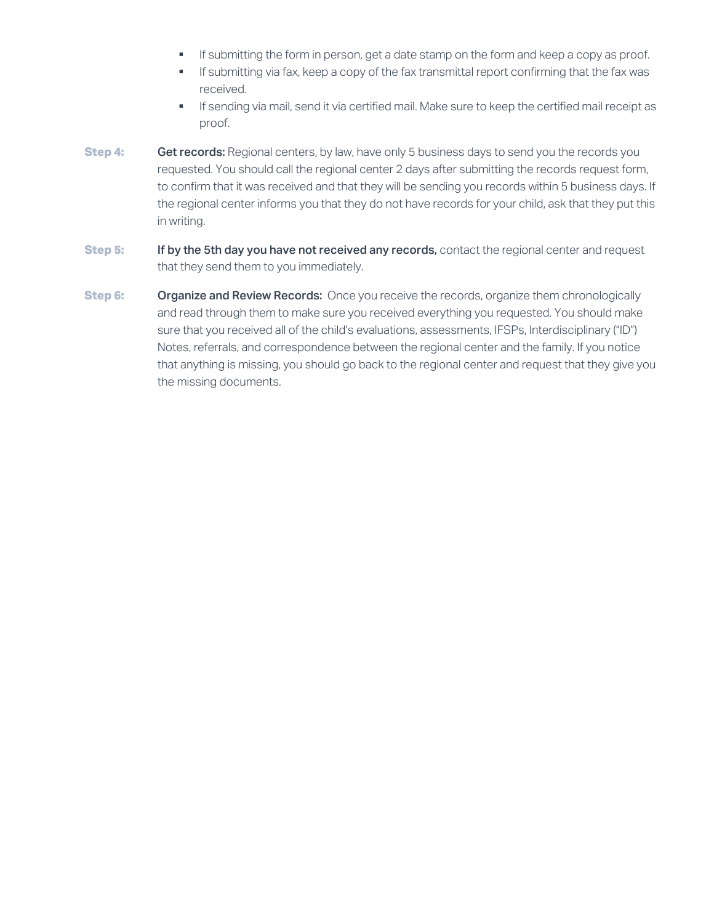- **•** If submitting the form in person, get a date stamp on the form and keep a copy as proof.
- **•** If submitting via fax, keep a copy of the fax transmittal report confirming that the fax was received.
- **•** If sending via mail, send it via certified mail. Make sure to keep the certified mail receipt as proof.
- **Step 4: Get records:** Regional centers, by law, have only 5 business days to send you the records you requested. You should call the regional center 2 days after submitting the records request form, to confirm that it was received and that they will be sending you records within 5 business days. If the regional center informs you that they do not have records for your child, ask that they put this in writing.
- **Step 5:** If by the 5th day you have not received any records, contact the regional center and request that they send them to you immediately.
- **Step 6: Organize and Review Records:** Once you receive the records, organize them chronologically and read through them to make sure you received everything you requested. You should make sure that you received all of the child's evaluations, assessments, IFSPs, Interdisciplinary ("ID") Notes, referrals, and correspondence between the regional center and the family. If you notice that anything is missing, you should go back to the regional center and request that they give you the missing documents.